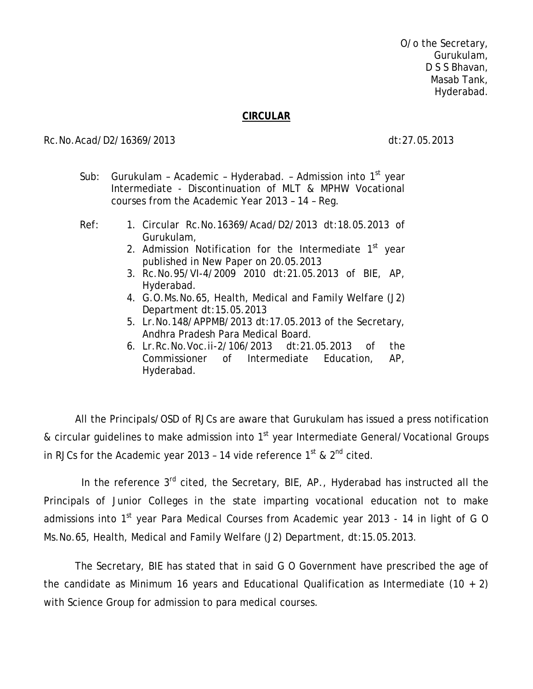O/o the Secretary, Gurukulam, D S S Bhavan, Masab Tank, Hyderabad.

## **CIRCULAR**

## Rc.No.Acad/D2/16369/2013 dt:27.05.2013

- Sub: Gurukulam Academic Hyderabad. Admission into  $1<sup>st</sup>$  year Intermediate - Discontinuation of MLT & MPHW Vocational courses from the Academic Year 2013 – 14 – Reg.
- 
- Ref: 1. Circular Rc.No.16369/Acad/D2/2013 dt:18.05.2013 of Gurukulam,
	- 2. Admission Notification for the Intermediate  $1<sup>st</sup>$  year published in New Paper on 20.05.2013
	- 3. Rc.No.95/VI-4/2009 2010 dt:21.05.2013 of BIE, AP, Hyderabad.
	- 4. G.O.Ms.No.65, Health, Medical and Family Welfare (J2) Department dt:15.05.2013
	- 5. Lr.No.148/APPMB/2013 dt:17.05.2013 of the Secretary, Andhra Pradesh Para Medical Board.
	- 6. Lr.Rc.No.Voc.ii-2/106/2013 dt:21.05.2013 of the Commissioner of Intermediate Education, AP, Hyderabad.

All the Principals/OSD of RJCs are aware that Gurukulam has issued a press notification & circular guidelines to make admission into 1<sup>st</sup> year Intermediate General/Vocational Groups in RJCs for the Academic year 2013 - 14 vide reference  $1^{st}$  &  $2^{nd}$  cited.

In the reference  $3<sup>rd</sup>$  cited, the Secretary, BIE, AP., Hyderabad has instructed all the Principals of Junior Colleges in the state imparting vocational education not to make admissions into 1<sup>st</sup> year Para Medical Courses from Academic year 2013 - 14 in light of G O Ms.No.65, Health, Medical and Family Welfare (J2) Department, dt:15.05.2013.

 The Secretary, BIE has stated that in said G O Government have prescribed the age of the candidate as Minimum 16 years and Educational Qualification as Intermediate  $(10 + 2)$ with Science Group for admission to para medical courses.